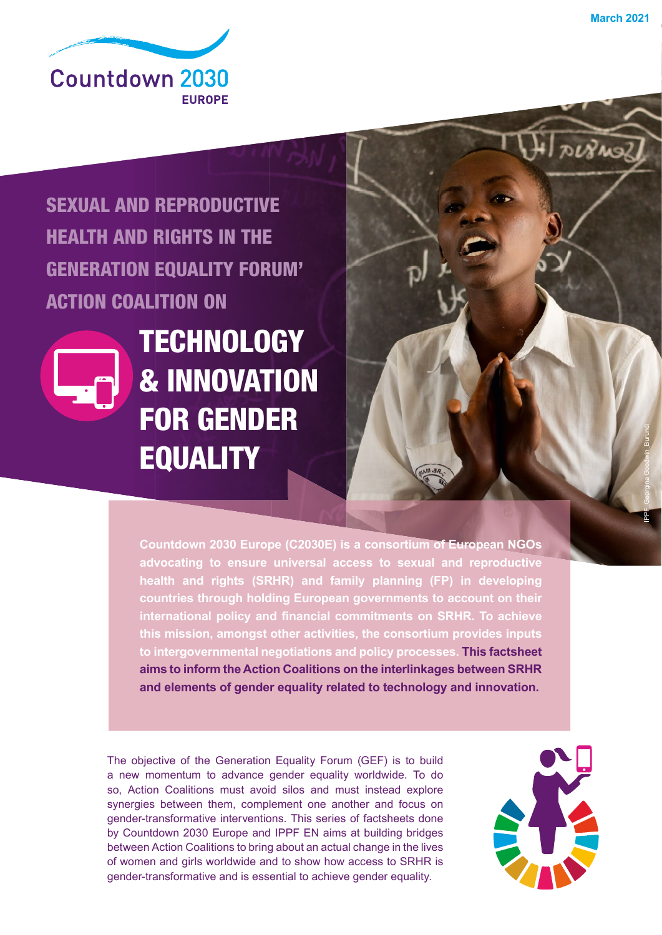Derno

IPPF\_Georgina Goodwin\_Burundi



### SEXUAL AND REPRODUCTIVE HEALTH AND RIGHTS IN THE GENERATION EQUALITY FORUM' ACTION COALITION ON



**TECHNOLOGY** & INNOVATION FOR GENDER **EQUALITY** 

**Countdown 2030 Europe (C2030E) is a consortium of European NGOs advocating to ensure universal access to sexual and reproductive health and rights (SRHR) and family planning (FP) in developing countries through holding European governments to account on their**  international policy and financial commitments on SRHR. To achieve **this mission, amongst other activities, the consortium provides inputs to intergovernmental negotiations and policy processes. This factsheet aims to inform the Action Coalitions on the interlinkages between SRHR and elements of gender equality related to technology and innovation.**

The objective of the Generation Equality Forum (GEF) is to build a new momentum to advance gender equality worldwide. To do so, Action Coalitions must avoid silos and must instead explore synergies between them, complement one another and focus on gender-transformative interventions. This series of factsheets done by Countdown 2030 Europe and IPPF EN aims at building bridges between Action Coalitions to bring about an actual change in the lives of women and girls worldwide and to show how access to SRHR is gender-transformative and is essential to achieve gender equality.

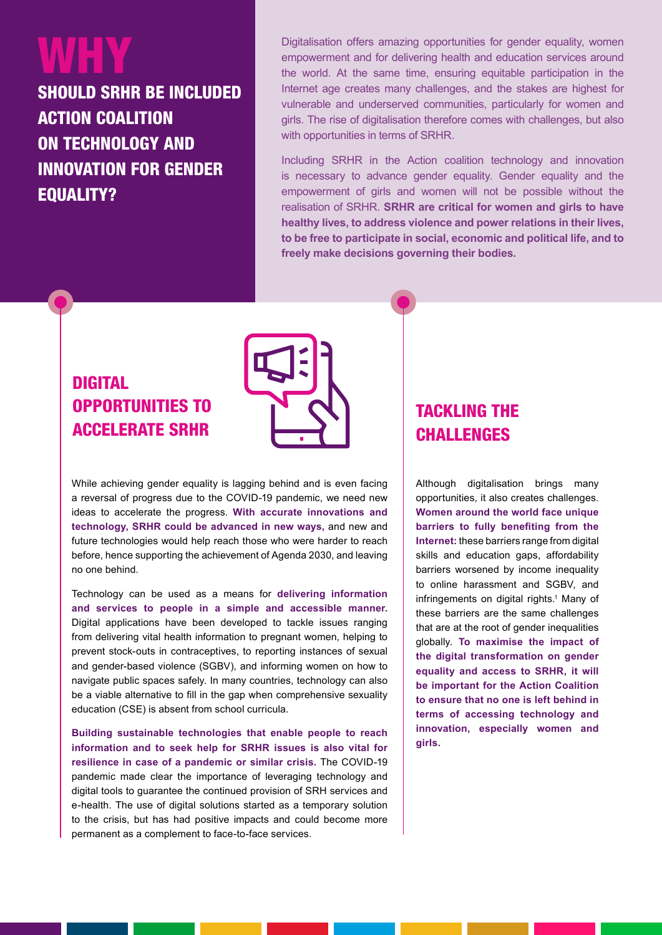# WHY

SHOULD SRHR BE INCLUDED ACTION COALITION ON TECHNOLOGY AND INNOVATION FOR GENDER EQUALITY?

Digitalisation offers amazing opportunities for gender equality, women empowerment and for delivering health and education services around the world. At the same time, ensuring equitable participation in the Internet age creates many challenges, and the stakes are highest for vulnerable and underserved communities, particularly for women and girls. The rise of digitalisation therefore comes with challenges, but also with opportunities in terms of SRHR.

Including SRHR in the Action coalition technology and innovation is necessary to advance gender equality. Gender equality and the empowerment of girls and women will not be possible without the realisation of SRHR. **SRHR are critical for women and girls to have healthy lives, to address violence and power relations in their lives, to be free to participate in social, economic and political life, and to freely make decisions governing their bodies.**

### DIGITAL OPPORTUNITIES TO ACCELERATE SRHR



While achieving gender equality is lagging behind and is even facing a reversal of progress due to the COVID-19 pandemic, we need new ideas to accelerate the progress. **With accurate innovations and technology, SRHR could be advanced in new ways,** and new and future technologies would help reach those who were harder to reach before, hence supporting the achievement of Agenda 2030, and leaving no one behind.

Technology can be used as a means for **delivering information and services to people in a simple and accessible manner.** Digital applications have been developed to tackle issues ranging from delivering vital health information to pregnant women, helping to prevent stock-outs in contraceptives, to reporting instances of sexual and gender-based violence (SGBV), and informing women on how to navigate public spaces safely. In many countries, technology can also be a viable alternative to fill in the gap when comprehensive sexuality education (CSE) is absent from school curricula.

**Building sustainable technologies that enable people to reach information and to seek help for SRHR issues is also vital for resilience in case of a pandemic or similar crisis.** The COVID-19 pandemic made clear the importance of leveraging technology and digital tools to guarantee the continued provision of SRH services and e-health. The use of digital solutions started as a temporary solution to the crisis, but has had positive impacts and could become more permanent as a complement to face-to-face services.

### TACKLING THE CHALLENGES

Although digitalisation brings many opportunities, it also creates challenges. **Women around the world face unique barriers to fully benefiting from the Internet:** these barriers range from digital skills and education gaps, affordability barriers worsened by income inequality to online harassment and SGBV, and infringements on digital rights.<sup>1</sup> Many of these barriers are the same challenges that are at the root of gender inequalities globally. **To maximise the impact of the digital transformation on gender equality and access to SRHR, it will be important for the Action Coalition to ensure that no one is left behind in terms of accessing technology and innovation, especially women and girls.**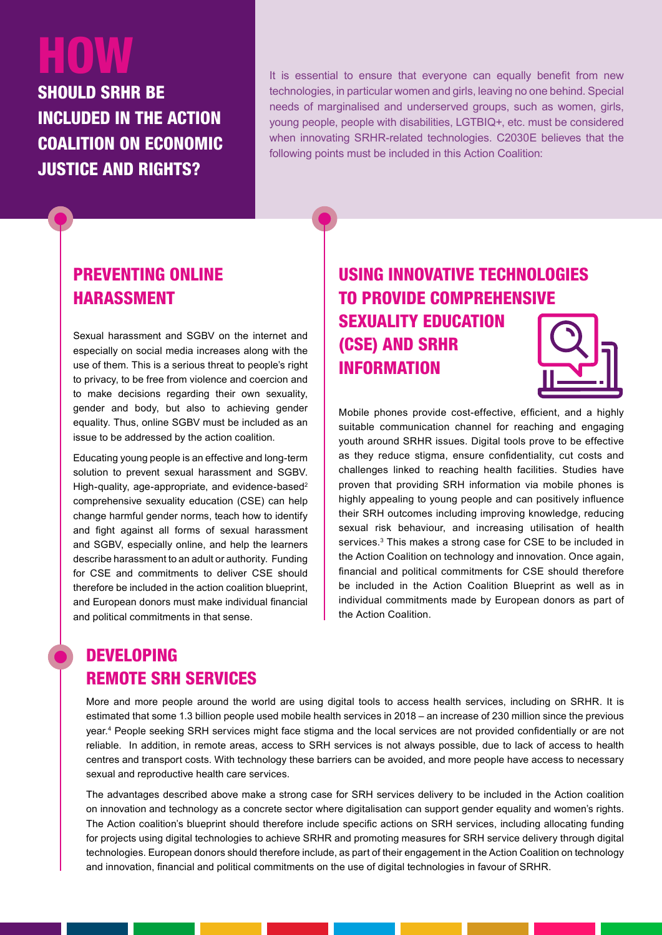# HOW

SHOULD SRHR BE INCLUDED IN THE ACTION COALITION ON ECONOMIC JUSTICE AND RIGHTS?

It is essential to ensure that everyone can equally benefit from new technologies, in particular women and girls, leaving no one behind. Special needs of marginalised and underserved groups, such as women, girls, young people, people with disabilities, LGTBIQ+, etc. must be considered when innovating SRHR-related technologies. C2030E believes that the following points must be included in this Action Coalition:

#### PREVENTING ONLINE HARASSMENT

Sexual harassment and SGBV on the internet and especially on social media increases along with the use of them. This is a serious threat to people's right to privacy, to be free from violence and coercion and to make decisions regarding their own sexuality, gender and body, but also to achieving gender equality. Thus, online SGBV must be included as an issue to be addressed by the action coalition.

Educating young people is an effective and long-term solution to prevent sexual harassment and SGBV. High-quality, age-appropriate, and evidence-based<sup>2</sup> comprehensive sexuality education (CSE) can help change harmful gender norms, teach how to identify and fight against all forms of sexual harassment and SGBV, especially online, and help the learners describe harassment to an adult or authority. Funding for CSE and commitments to deliver CSE should therefore be included in the action coalition blueprint, and European donors must make individual financial and political commitments in that sense.

### USING INNOVATIVE TECHNOLOGIES TO PROVIDE COMPREHENSIVE SEXUALITY EDUCATION (CSE) AND SRHR INFORMATION

Mobile phones provide cost-effective, efficient, and a highly suitable communication channel for reaching and engaging youth around SRHR issues. Digital tools prove to be effective as they reduce stigma, ensure confidentiality, cut costs and challenges linked to reaching health facilities. Studies have proven that providing SRH information via mobile phones is highly appealing to young people and can positively influence their SRH outcomes including improving knowledge, reducing sexual risk behaviour, and increasing utilisation of health services.<sup>3</sup> This makes a strong case for CSE to be included in the Action Coalition on technology and innovation. Once again, financial and political commitments for CSE should therefore be included in the Action Coalition Blueprint as well as in individual commitments made by European donors as part of the Action Coalition.

#### DEVELOPING REMOTE SRH SERVICES

More and more people around the world are using digital tools to access health services, including on SRHR. It is estimated that some 1.3 billion people used mobile health services in 2018 – an increase of 230 million since the previous year.4 People seeking SRH services might face stigma and the local services are not provided confidentially or are not reliable. In addition, in remote areas, access to SRH services is not always possible, due to lack of access to health centres and transport costs. With technology these barriers can be avoided, and more people have access to necessary sexual and reproductive health care services.

The advantages described above make a strong case for SRH services delivery to be included in the Action coalition on innovation and technology as a concrete sector where digitalisation can support gender equality and women's rights. The Action coalition's blueprint should therefore include specific actions on SRH services, including allocating funding for projects using digital technologies to achieve SRHR and promoting measures for SRH service delivery through digital technologies. European donors should therefore include, as part of their engagement in the Action Coalition on technology and innovation, financial and political commitments on the use of digital technologies in favour of SRHR.